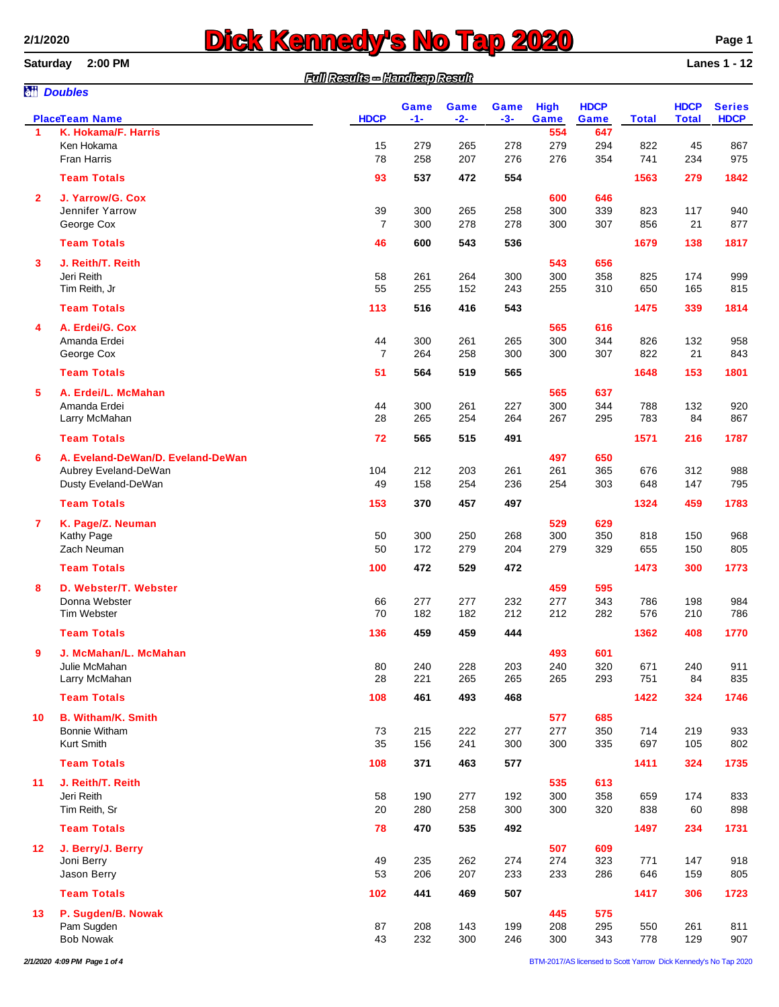# **2/1/2020 2020 Page 1**<br> **Saturday** 2:00 PM

**Saturday 2:00 PM Lanes 1 - 12**

|                 |                                     | Full Results - Handleap Result |            |            |             |             |             |              |              |               |
|-----------------|-------------------------------------|--------------------------------|------------|------------|-------------|-------------|-------------|--------------|--------------|---------------|
|                 | <b>M</b> Doubles                    |                                | Game       | Game       | <b>Game</b> | <b>High</b> | <b>HDCP</b> |              | <b>HDCP</b>  | <b>Series</b> |
|                 | <b>PlaceTeam Name</b>               | <b>HDCP</b>                    | $-1-$      | $-2-$      | $-3-$       | Game        | Game        | <b>Total</b> | <b>Total</b> | <b>HDCP</b>   |
| 1               | K. Hokama/F. Harris<br>Ken Hokama   | 15                             | 279        | 265        | 278         | 554<br>279  | 647<br>294  | 822          | 45           | 867           |
|                 | Fran Harris                         | 78                             | 258        | 207        | 276         | 276         | 354         | 741          | 234          | 975           |
|                 | <b>Team Totals</b>                  | 93                             | 537        | 472        | 554         |             |             | 1563         | 279          | 1842          |
|                 |                                     |                                |            |            |             |             |             |              |              |               |
| $\mathbf{2}$    | J. Yarrow/G. Cox<br>Jennifer Yarrow | 39                             | 300        | 265        | 258         | 600<br>300  | 646<br>339  | 823          | 117          | 940           |
|                 | George Cox                          | $\overline{7}$                 | 300        | 278        | 278         | 300         | 307         | 856          | 21           | 877           |
|                 | <b>Team Totals</b>                  | 46                             | 600        | 543        | 536         |             |             | 1679         | 138          | 1817          |
|                 |                                     |                                |            |            |             |             |             |              |              |               |
| 3               | J. Reith/T. Reith                   |                                |            |            |             | 543         | 656         |              |              |               |
|                 | Jeri Reith                          | 58                             | 261        | 264        | 300         | 300         | 358         | 825          | 174          | 999           |
|                 | Tim Reith, Jr                       | 55                             | 255        | 152        | 243         | 255         | 310         | 650          | 165          | 815           |
|                 | <b>Team Totals</b>                  | 113                            | 516        | 416        | 543         |             |             | 1475         | 339          | 1814          |
| 4               | A. Erdei/G. Cox                     |                                |            |            |             | 565         | 616         |              |              |               |
|                 | Amanda Erdei                        | 44                             | 300        | 261        | 265         | 300         | 344         | 826          | 132          | 958           |
|                 | George Cox                          | $\overline{7}$                 | 264        | 258        | 300         | 300         | 307         | 822          | 21           | 843           |
|                 | <b>Team Totals</b>                  | 51                             | 564        | 519        | 565         |             |             | 1648         | 153          | 1801          |
| 5               | A. Erdei/L. McMahan                 |                                |            |            |             | 565         | 637         |              |              |               |
|                 | Amanda Erdei                        | 44                             | 300        | 261        | 227         | 300         | 344         | 788          | 132          | 920           |
|                 | Larry McMahan                       | 28                             | 265        | 254        | 264         | 267         | 295         | 783          | 84           | 867           |
|                 | <b>Team Totals</b>                  | 72                             | 565        | 515        | 491         |             |             | 1571         | 216          | 1787          |
| 6               |                                     |                                |            |            |             |             |             |              |              |               |
|                 | A. Eveland-DeWan/D. Eveland-DeWan   |                                |            |            |             | 497         | 650         |              |              |               |
|                 | Aubrey Eveland-DeWan                | 104<br>49                      | 212<br>158 | 203<br>254 | 261         | 261         | 365<br>303  | 676          | 312<br>147   | 988<br>795    |
|                 | Dusty Eveland-DeWan                 |                                |            |            | 236         | 254         |             | 648          |              |               |
|                 | <b>Team Totals</b>                  | 153                            | 370        | 457        | 497         |             |             | 1324         | 459          | 1783          |
| $\overline{7}$  | K. Page/Z. Neuman                   |                                |            |            |             | 529         | 629         |              |              |               |
|                 | Kathy Page                          | 50                             | 300        | 250        | 268         | 300         | 350         | 818          | 150          | 968           |
|                 | Zach Neuman                         | 50                             | 172        | 279        | 204         | 279         | 329         | 655          | 150          | 805           |
|                 | <b>Team Totals</b>                  | 100                            | 472        | 529        | 472         |             |             | 1473         | 300          | 1773          |
| 8               | D. Webster/T. Webster               |                                |            |            |             | 459         | 595         |              |              |               |
|                 | Donna Webster                       | 66                             | 277        | 277        | 232         | 277         | 343         | 786          | 198          | 984           |
|                 | <b>Tim Webster</b>                  | 70                             | 182        | 182        | 212         | 212         | 282         | 576          | 210          | 786           |
|                 | <b>Team Totals</b>                  | 136                            | 459        | 459        | 444         |             |             | 1362         | 408          | 1770          |
| 9               | J. McMahan/L. McMahan               |                                |            |            |             | 493         | 601         |              |              |               |
|                 | Julie McMahan                       | 80                             | 240        | 228        | 203         | 240         | 320         | 671          | 240          | 911           |
|                 | Larry McMahan                       | 28                             | 221        | 265        | 265         | 265         | 293         | 751          | 84           | 835           |
|                 | <b>Team Totals</b>                  | 108                            | 461        | 493        | 468         |             |             | 1422         | 324          | 1746          |
|                 |                                     |                                |            |            |             |             |             |              |              |               |
| 10              | <b>B. Witham/K. Smith</b>           |                                |            |            |             | 577         | 685         |              |              |               |
|                 | <b>Bonnie Witham</b>                | 73                             | 215        | 222        | 277         | 277         | 350         | 714          | 219          | 933           |
|                 | Kurt Smith                          | 35                             | 156        | 241        | 300         | 300         | 335         | 697          | 105          | 802           |
|                 | <b>Team Totals</b>                  | 108                            | 371        | 463        | 577         |             |             | 1411         | 324          | 1735          |
| 11              | J. Reith/T. Reith                   |                                |            |            |             | 535         | 613         |              |              |               |
|                 | Jeri Reith                          | 58                             | 190        | 277        | 192         | 300         | 358         | 659          | 174          | 833           |
|                 | Tim Reith, Sr                       | 20                             | 280        | 258        | 300         | 300         | 320         | 838          | 60           | 898           |
|                 | <b>Team Totals</b>                  | 78                             | 470        | 535        | 492         |             |             | 1497         | 234          | 1731          |
| 12 <sub>2</sub> | J. Berry/J. Berry                   |                                |            |            |             | 507         | 609         |              |              |               |
|                 | Joni Berry                          | 49                             | 235        | 262        | 274         | 274         | 323         | 771          | 147          | 918           |
|                 | Jason Berry                         | 53                             | 206        | 207        | 233         | 233         | 286         | 646          | 159          | 805           |
|                 | <b>Team Totals</b>                  | 102                            | 441        | 469        | 507         |             |             | 1417         | 306          | 1723          |
|                 |                                     |                                |            |            |             |             |             |              |              |               |
| 13              | P. Sugden/B. Nowak<br>Pam Sugden    | 87                             | 208        | 143        | 199         | 445<br>208  | 575<br>295  | 550          | 261          | 811           |
|                 | <b>Bob Nowak</b>                    | 43                             | 232        | 300        | 246         | 300         | 343         | 778          | 129          | 907           |
|                 |                                     |                                |            |            |             |             |             |              |              |               |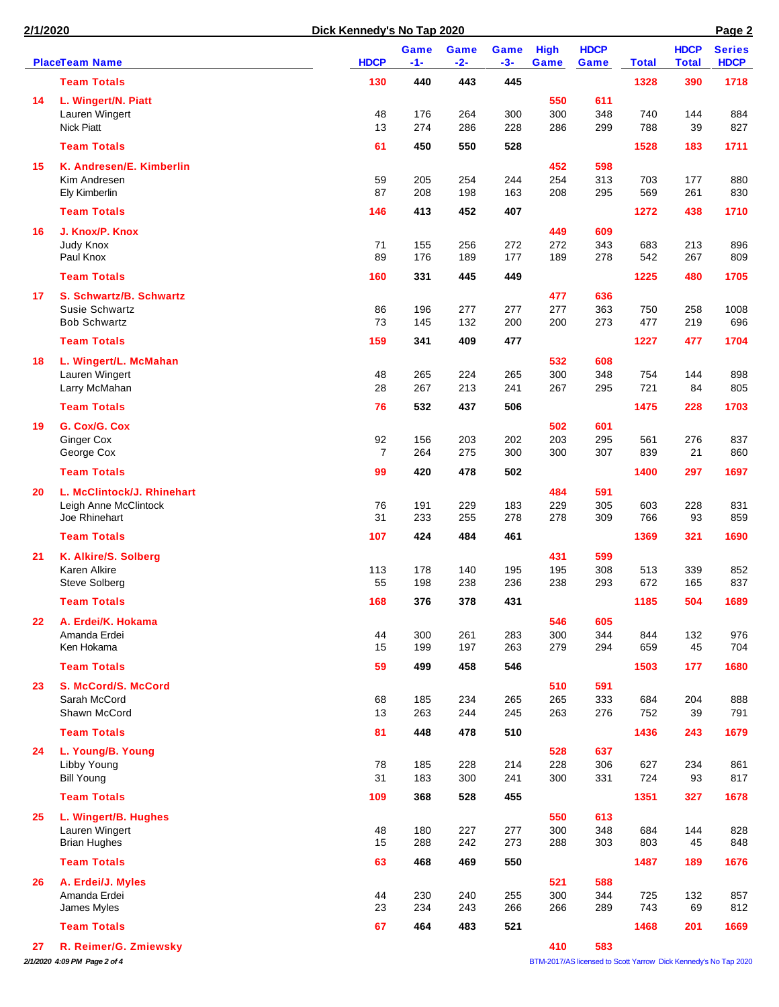| 2/1/2020 |                             | Dick Kennedy's No Tap 2020 |               |               |               |                     | Page 2              |              |                             |                              |
|----------|-----------------------------|----------------------------|---------------|---------------|---------------|---------------------|---------------------|--------------|-----------------------------|------------------------------|
|          | <b>PlaceTeam Name</b>       | <b>HDCP</b>                | Game<br>$-1-$ | Game<br>$-2-$ | Game<br>$-3-$ | <b>High</b><br>Game | <b>HDCP</b><br>Game | <b>Total</b> | <b>HDCP</b><br><b>Total</b> | <b>Series</b><br><b>HDCP</b> |
|          | <b>Team Totals</b>          | 130                        | 440           | 443           | 445           |                     |                     | 1328         | 390                         | 1718                         |
| 14       | L. Wingert/N. Piatt         |                            |               |               |               | 550                 | 611                 |              |                             |                              |
|          | Lauren Wingert              | 48                         | 176           | 264           | 300           | 300                 | 348                 | 740          | 144                         | 884                          |
|          | <b>Nick Piatt</b>           | 13                         | 274           | 286           | 228           | 286                 | 299                 | 788          | 39                          | 827                          |
|          | <b>Team Totals</b>          | 61                         | 450           | 550           | 528           |                     |                     | 1528         | 183                         | 1711                         |
| 15       | K. Andresen/E. Kimberlin    |                            |               |               |               | 452                 | 598                 |              |                             |                              |
|          | Kim Andresen                | 59                         | 205           | 254           | 244           | 254                 | 313                 | 703          | 177                         | 880                          |
|          | Ely Kimberlin               | 87                         | 208           | 198           | 163           | 208                 | 295                 | 569          | 261                         | 830                          |
|          | <b>Team Totals</b>          | 146                        | 413           | 452           | 407           |                     |                     | 1272         | 438                         | 1710                         |
| 16       | J. Knox/P. Knox             |                            |               |               |               | 449                 | 609                 |              |                             |                              |
|          | Judy Knox                   | 71                         | 155           | 256           | 272           | 272                 | 343                 | 683          | 213                         | 896                          |
|          | Paul Knox                   | 89                         | 176           | 189           | 177           | 189                 | 278                 | 542          | 267                         | 809                          |
|          | <b>Team Totals</b>          | 160                        | 331           | 445           | 449           |                     |                     | 1225         | 480                         | 1705                         |
| 17       | S. Schwartz/B. Schwartz     |                            |               |               |               | 477                 | 636                 |              |                             |                              |
|          | Susie Schwartz              | 86                         | 196           | 277           | 277           | 277                 | 363                 | 750          | 258                         | 1008                         |
|          | <b>Bob Schwartz</b>         | 73                         | 145           | 132           | 200           | 200                 | 273                 | 477          | 219                         | 696                          |
|          | <b>Team Totals</b>          | 159                        | 341           | 409           | 477           |                     |                     | 1227         | 477                         | 1704                         |
| 18       | L. Wingert/L. McMahan       |                            |               |               |               | 532                 | 608                 |              |                             |                              |
|          | Lauren Wingert              | 48                         | 265           | 224           | 265           | 300                 | 348                 | 754          | 144                         | 898                          |
|          | Larry McMahan               | 28                         | 267           | 213           | 241           | 267                 | 295                 | 721          | 84                          | 805                          |
|          | <b>Team Totals</b>          | 76                         | 532           | 437           | 506           |                     |                     | 1475         | 228                         | 1703                         |
| 19       | G. Cox/G. Cox               |                            |               |               |               | 502                 | 601                 |              |                             |                              |
|          | <b>Ginger Cox</b>           | 92                         | 156           | 203           | 202           | 203                 | 295                 | 561          | 276                         | 837                          |
|          | George Cox                  | $\overline{7}$             | 264           | 275           | 300           | 300                 | 307                 | 839          | 21                          | 860                          |
|          | <b>Team Totals</b>          | 99                         | 420           | 478           | 502           |                     |                     | 1400         | 297                         | 1697                         |
| 20       | L. McClintock/J. Rhinehart  |                            |               |               |               | 484                 | 591                 |              |                             |                              |
|          | Leigh Anne McClintock       | 76                         | 191           | 229           | 183           | 229                 | 305                 | 603          | 228                         | 831                          |
|          | Joe Rhinehart               | 31                         | 233           | 255           | 278           | 278                 | 309                 | 766          | 93                          | 859                          |
|          | <b>Team Totals</b>          | 107                        | 424           | 484           | 461           |                     |                     | 1369         | 321                         | 1690                         |
| 21       | K. Alkire/S. Solberg        |                            |               |               |               | 431                 | 599                 |              |                             |                              |
|          | Karen Alkire                | 113<br>55                  | 178           | 140<br>238    | 195           | 195                 | 308                 | 513          | 339                         | 852<br>837                   |
|          | <b>Steve Solberg</b>        |                            | 198           |               | 236           | 238                 | 293                 | 672          | 165                         |                              |
|          | <b>Team Totals</b>          | 168                        | 376           | 378           | 431           |                     |                     | 1185         | 504                         | 1689                         |
| 22       | A. Erdei/K. Hokama          |                            |               |               |               | 546                 | 605                 |              |                             |                              |
|          | Amanda Erdei                | 44                         | 300           | 261           | 283           | 300                 | 344                 | 844          | 132                         | 976                          |
|          | Ken Hokama                  | 15                         | 199           | 197           | 263           | 279                 | 294                 | 659          | 45                          | 704                          |
|          | <b>Team Totals</b>          | 59                         | 499           | 458           | 546           |                     |                     | 1503         | 177                         | 1680                         |
| 23       | S. McCord/S. McCord         |                            |               |               |               | 510                 | 591                 |              |                             |                              |
|          | Sarah McCord                | 68                         | 185           | 234           | 265           | 265                 | 333                 | 684          | 204                         | 888                          |
|          | Shawn McCord                | 13                         | 263           | 244           | 245           | 263                 | 276                 | 752          | 39                          | 791                          |
|          | <b>Team Totals</b>          | 81                         | 448           | 478           | 510           |                     |                     | 1436         | 243                         | 1679                         |
| 24       | L. Young/B. Young           |                            |               |               |               | 528                 | 637                 |              |                             |                              |
|          | Libby Young                 | 78                         | 185           | 228           | 214           | 228                 | 306                 | 627          | 234                         | 861                          |
|          | <b>Bill Young</b>           | 31                         | 183           | 300           | 241           | 300                 | 331                 | 724          | 93                          | 817                          |
|          | <b>Team Totals</b>          | 109                        | 368           | 528           | 455           |                     |                     | 1351         | 327                         | 1678                         |
| 25       | L. Wingert/B. Hughes        |                            |               |               |               | 550                 | 613                 |              |                             |                              |
|          | Lauren Wingert              | 48                         | 180           | 227           | 277           | 300                 | 348                 | 684          | 144                         | 828                          |
|          | <b>Brian Hughes</b>         | 15                         | 288           | 242           | 273           | 288                 | 303                 | 803          | 45                          | 848                          |
|          | <b>Team Totals</b>          | 63                         | 468           | 469           | 550           |                     |                     | 1487         | 189                         | 1676                         |
| 26       | A. Erdei/J. Myles           |                            |               |               |               | 521                 | 588                 |              |                             |                              |
|          | Amanda Erdei<br>James Myles | 44<br>23                   | 230<br>234    | 240<br>243    | 255<br>266    | 300<br>266          | 344<br>289          | 725<br>743   | 132<br>69                   | 857<br>812                   |
|          |                             |                            |               |               |               |                     |                     |              |                             |                              |
|          | <b>Team Totals</b>          | 67                         | 464           | 483           | 521           |                     |                     | 1468         | 201                         | 1669                         |

*2/1/2020 4:09 PM Page 2 of 4* BTM-2017/AS licensed to Scott Yarrow Dick Kennedy's No Tap 2020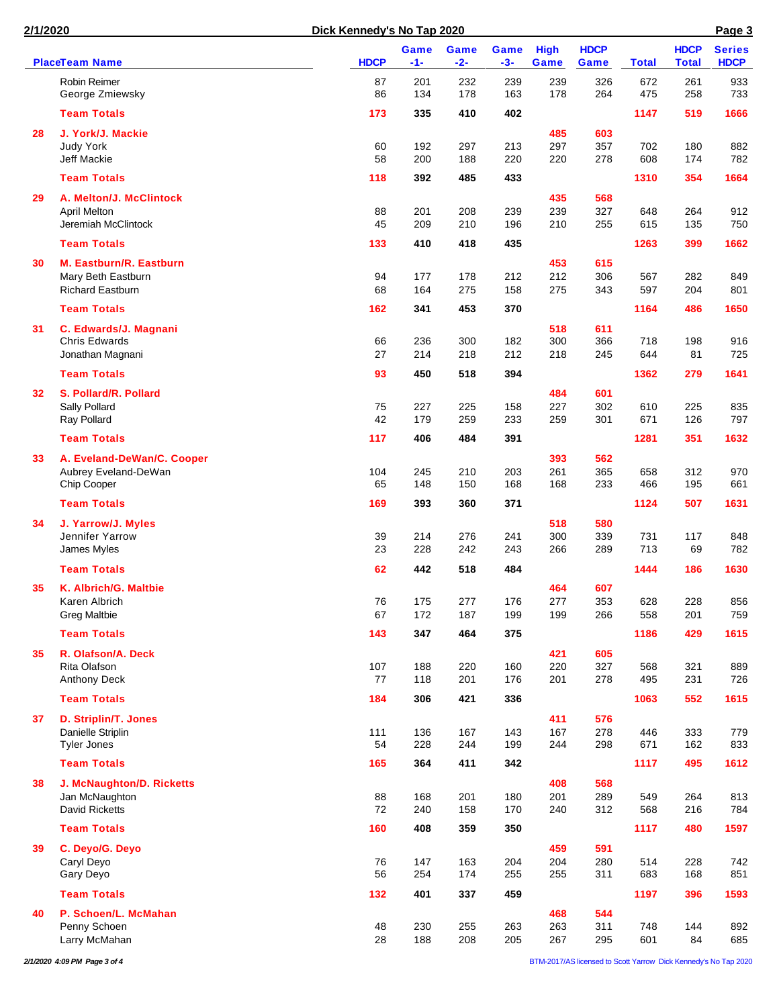| 2/1/2020 |                                                    |             | Dick Kennedy's No Tap 2020 |               |                      |                     |                     |              |                             | Page 3                       |
|----------|----------------------------------------------------|-------------|----------------------------|---------------|----------------------|---------------------|---------------------|--------------|-----------------------------|------------------------------|
|          | <b>PlaceTeam Name</b>                              | <b>HDCP</b> | Game<br>$-1-$              | Game<br>$-2-$ | <b>Game</b><br>$-3-$ | <b>High</b><br>Game | <b>HDCP</b><br>Game | <b>Total</b> | <b>HDCP</b><br><b>Total</b> | <b>Series</b><br><b>HDCP</b> |
|          | Robin Reimer<br>George Zmiewsky                    | 87<br>86    | 201<br>134                 | 232<br>178    | 239<br>163           | 239<br>178          | 326<br>264          | 672<br>475   | 261<br>258                  | 933<br>733                   |
|          | <b>Team Totals</b>                                 | 173         | 335                        | 410           | 402                  |                     |                     | 1147         | 519                         | 1666                         |
| 28       | J. York/J. Mackie                                  |             |                            |               |                      | 485                 | 603                 |              |                             |                              |
|          | Judy York                                          | 60          | 192                        | 297           | 213                  | 297                 | 357                 | 702          | 180                         | 882                          |
|          | Jeff Mackie<br><b>Team Totals</b>                  | 58          | 200                        | 188           | 220                  | 220                 | 278                 | 608          | 174                         | 782                          |
|          |                                                    | 118         | 392                        | 485           | 433                  |                     |                     | 1310         | 354                         | 1664                         |
| 29       | A. Melton/J. McClintock<br><b>April Melton</b>     | 88          | 201                        | 208           | 239                  | 435<br>239          | 568<br>327          | 648          | 264                         | 912                          |
|          | Jeremiah McClintock                                | 45          | 209                        | 210           | 196                  | 210                 | 255                 | 615          | 135                         | 750                          |
|          | <b>Team Totals</b>                                 | 133         | 410                        | 418           | 435                  |                     |                     | 1263         | 399                         | 1662                         |
| 30       | M. Eastburn/R. Eastburn                            |             |                            |               |                      | 453                 | 615                 |              |                             |                              |
|          | Mary Beth Eastburn                                 | 94          | 177                        | 178           | 212                  | 212                 | 306                 | 567          | 282                         | 849                          |
|          | <b>Richard Eastburn</b>                            | 68          | 164                        | 275           | 158                  | 275                 | 343                 | 597          | 204                         | 801                          |
|          | <b>Team Totals</b>                                 | 162         | 341                        | 453           | 370                  |                     |                     | 1164         | 486                         | 1650                         |
| 31       | C. Edwards/J. Magnani<br><b>Chris Edwards</b>      | 66          | 236                        | 300           | 182                  | 518<br>300          | 611<br>366          | 718          | 198                         | 916                          |
|          | Jonathan Magnani                                   | 27          | 214                        | 218           | 212                  | 218                 | 245                 | 644          | 81                          | 725                          |
|          | <b>Team Totals</b>                                 | 93          | 450                        | 518           | 394                  |                     |                     | 1362         | 279                         | 1641                         |
| 32       | S. Pollard/R. Pollard                              |             |                            |               |                      | 484                 | 601                 |              |                             |                              |
|          | Sally Pollard                                      | 75          | 227                        | 225           | 158                  | 227                 | 302                 | 610          | 225                         | 835                          |
|          | Ray Pollard                                        | 42          | 179                        | 259           | 233                  | 259                 | 301                 | 671          | 126                         | 797                          |
|          | <b>Team Totals</b>                                 | 117         | 406                        | 484           | 391                  |                     |                     | 1281         | 351                         | 1632                         |
| 33       | A. Eveland-DeWan/C. Cooper<br>Aubrey Eveland-DeWan | 104         | 245                        | 210           | 203                  | 393<br>261          | 562<br>365          | 658          | 312                         | 970                          |
|          | Chip Cooper                                        | 65          | 148                        | 150           | 168                  | 168                 | 233                 | 466          | 195                         | 661                          |
|          | <b>Team Totals</b>                                 | 169         | 393                        | 360           | 371                  |                     |                     | 1124         | 507                         | 1631                         |
| 34       | J. Yarrow/J. Myles                                 |             |                            |               |                      | 518                 | 580                 |              |                             |                              |
|          | Jennifer Yarrow                                    | 39          | 214                        | 276           | 241                  | 300                 | 339                 | 731          | 117                         | 848                          |
|          | James Myles                                        | 23          | 228                        | 242           | 243                  | 266                 | 289                 | 713          | 69                          | 782                          |
|          | <b>Team Totals</b>                                 | 62          | 442                        | 518           | 484                  |                     |                     | 1444         | 186                         | 1630                         |
| 35       | K. Albrich/G. Maltbie<br>Karen Albrich             | 76          | 175                        | 277           | 176                  | 464<br>277          | 607<br>353          | 628          | 228                         | 856                          |
|          | <b>Greg Maltbie</b>                                | 67          | 172                        | 187           | 199                  | 199                 | 266                 | 558          | 201                         | 759                          |
|          | <b>Team Totals</b>                                 | 143         | 347                        | 464           | 375                  |                     |                     | 1186         | 429                         | 1615                         |
| 35       | R. Olafson/A. Deck                                 |             |                            |               |                      | 421                 | 605                 |              |                             |                              |
|          | Rita Olafson                                       | 107         | 188                        | 220           | 160                  | 220                 | 327                 | 568          | 321                         | 889                          |
|          | Anthony Deck                                       | 77          | 118                        | 201           | 176                  | 201                 | 278                 | 495          | 231                         | 726                          |
|          | <b>Team Totals</b>                                 | 184         | 306                        | 421           | 336                  |                     |                     | 1063         | 552                         | 1615                         |
| 37       | D. Striplin/T. Jones<br>Danielle Striplin          | 111         | 136                        | 167           | 143                  | 411<br>167          | 576<br>278          | 446          | 333                         | 779                          |
|          | <b>Tyler Jones</b>                                 | 54          | 228                        | 244           | 199                  | 244                 | 298                 | 671          | 162                         | 833                          |
|          | <b>Team Totals</b>                                 | 165         | 364                        | 411           | 342                  |                     |                     | 1117         | 495                         | 1612                         |
| 38       | <b>J. McNaughton/D. Ricketts</b>                   |             |                            |               |                      | 408                 | 568                 |              |                             |                              |
|          | Jan McNaughton                                     | 88<br>72    | 168                        | 201<br>158    | 180                  | 201                 | 289<br>312          | 549          | 264                         | 813                          |
|          | David Ricketts                                     |             | 240                        |               | 170                  | 240                 |                     | 568          | 216                         | 784                          |
|          | <b>Team Totals</b>                                 | 160         | 408                        | 359           | 350                  |                     |                     | 1117         | 480                         | 1597                         |
| 39       | C. Deyo/G. Deyo<br>Caryl Deyo                      | 76          | 147                        | 163           | 204                  | 459<br>204          | 591<br>280          | 514          | 228                         | 742                          |
|          | Gary Deyo                                          | 56          | 254                        | 174           | 255                  | 255                 | 311                 | 683          | 168                         | 851                          |
|          | <b>Team Totals</b>                                 | 132         | 401                        | 337           | 459                  |                     |                     | 1197         | 396                         | 1593                         |
| 40       | P. Schoen/L. McMahan                               |             |                            |               |                      | 468                 | 544                 |              |                             |                              |
|          | Penny Schoen                                       | 48          | 230                        | 255           | 263                  | 263                 | 311                 | 748          | 144                         | 892                          |
|          | Larry McMahan                                      | 28          | 188                        | 208           | 205                  | 267                 | 295                 | 601          | 84                          | 685                          |